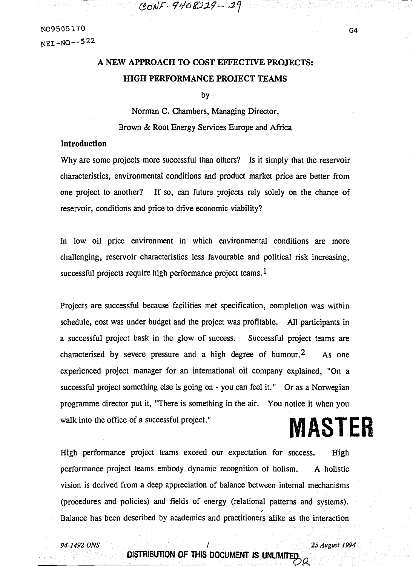CONF-9408229-29

# **A NEW APPROACH TO COST EFFECTIVE PROJECTS: HIGH PERFORMANCE PROJECT TEAMS**

by

Norman C. Chambers, Managing Director, Brown & Root Energy Services Europe and Africa

# **Introduction**

Why are some projects more successful than others? Is it simply that the reservoir characteristics, environmental conditions and product market price are better from one project to another? If so, can future projects rely solely on the chance of reservoir, conditions and price to drive economic viability?

In low oil price environment in which environmental conditions are more challenging, reservoir characteristics less favourable and political risk increasing, successful projects require high performance project teams.  $1$ 

Projects are successful because facilities met specification, completion was within schedule, cost was under budget and the project was profitable. All participants in a successful project bask in the glow of success. Successful project teams are characterised by severe pressure and a high degree of humour.<sup>2</sup> As one experienced project manager for an international oil company explained, "On a successful project something else is going on - you can feel it." Or as a Norwegian programme director put it, "There is something in the air. You notice it when you walk into the office of a successful project." **MASTER** 

High performance project teams exceed our expectation for success. High performance project teams embody dynamic recognition of holism. A holistic vision is derived from a deep appreciation of balance between internal mechanisms (procedures and policies) and fields of energy (relational patterns and systems). Balance has been described by academics and practitioners alike as the interaction

*94-1492 ONS 1 25 August 1994* 

# **DISTRIBUTION OF THIS DOCUMENT IS UNLIMITED**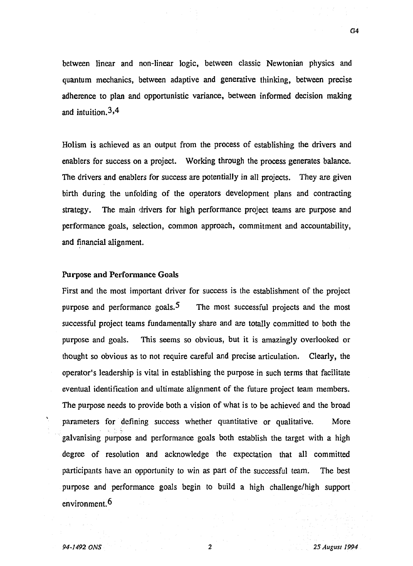between linear and non-linear logic, between classic Newtonian physics and quantum mechanics, between adaptive and generative thinking, between precise adherence to plan and opportunistic variance, between informed decision making and intuition. 3 *A* 

Holism is achieved as an output from the process of establishing the drivers and enablers for success on a project. Working through the process generates balance. The drivers and enablers for success are potentially in all projects. They are given birth during the unfolding of the operators development plans and contracting strategy. The main drivers for high performance project teams are purpose and performance goals, selection, common approach, commitment and accountability, and financial alignment.

### Purpose and Performance Goals

First and the most important driver for success is the establishment of the project purpose and performance goals.<sup>5</sup> The most successful projects and the most successful project teams fundamentally share and are totally committed to both the purpose and goals. This seems so obvious, but it is amazingly overlooked or thought so obvious as to not require careful and precise articulation. Clearly, the operator's leadership is vital in establishing the purpose in such terms that facilitate eventual identification and ultimate alignment of the future project team members. The purpose needs to provide both a vision of what is to be achieved and the broad parameters for defining success whether quantitative or qualitative. More galvanising purpose and performance goals both establish the target with a high degree of resolution and acknowledge the expectation that all committed participants have an opportunity to win as part of the successful team. The best purpose and performance goals begin to build a high challenge/high support environment. 6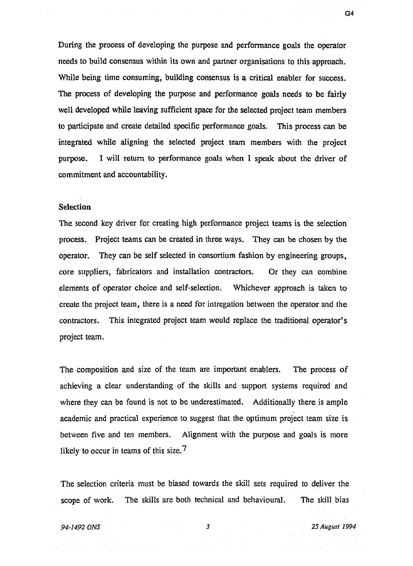During the process of developing the purpose and performance goals the operator needs to build consensus within its own and partner organisations to this approach. While being time consuming, building consensus is a critical enabler for success. The process of developing the purpose and performance goals needs to be fairly well developed while leaving sufficient space for the selected project team members to participate and create detailed specific performance goals. This process can be integrated while aligning the selected project team members with the project purpose. I will return to performance goals when I speak about the driver of commitment and accountability.

### **Selection**

The second key driver for creating high performance project teams is the selection process. Project teams can be created in three ways. They can be chosen by the operator. They can be self selected in consortium fashion by engineering groups, core suppliers, fabricators and installation contractors. Or they can combine elements of operator choice and self-selection. Whichever approach is taken to create the project team, there is a need for intregation between the operator and the contractors. This integrated project team would replace the traditional operator's project team.

The composition and size of the team are important enablers. The process of achieving a clear understanding of the skills and support systems required and where they can be found is not to be underestimated. Additionally there is ample academic and practical experience to suggest that the optimum project team size is between five and ten members. Alignment with the purpose and goals is more likely to occur in teams of this size.<sup>7</sup>

The selection criteria must be biased towards the skill sets required to deliver the scope of work. The skills are both technical and behavioural. The skill bias

*94-1492 ONS* **3** *25 August 1994*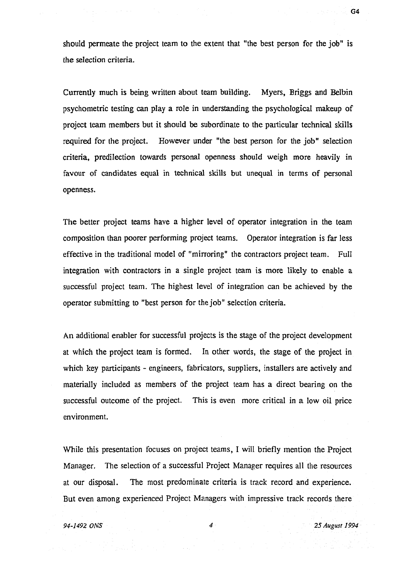should permeate the project team to the extent that "the best person for the job" is the selection criteria.

Currently much is being written about team building. Myers, Briggs and Belbin psychometric testing can play a role in understanding the psychological makeup of project team members but it should be subordinate to the particular technical skills required for the project. However under "the best person for the job" selection criteria, predilection towards personal openness should weigh more heavily in favour of candidates equal in technical skills but unequal in terms of personal openness.

The better project teams have a higher level of operator integration in the team composition than poorer performing project teams. Operator integration is far less effective in the traditional model of "mirroring" the contractors project team. Full integration with contractors in a single project team is more likely to enable a successful project team. The highest level of integration can be achieved by the operator submitting to "best person for the job" selection criteria.

An additional enabler for successful projects is the stage of the project development at which the project team is formed. In other words, the stage of the project in which key participants - engineers, fabricators, suppliers, installers are actively and materially included as members of the project team has a direct bearing on the successful outcome of the project. This is even more critical in a low oil price environment.

While this presentation focuses on project teams, I will briefly mention the Project Manager. The selection of a successful Project Manager requires all the resources at our disposal. The most predominate criteria is track record and experience. But even among experienced Project Managers with impressive track records there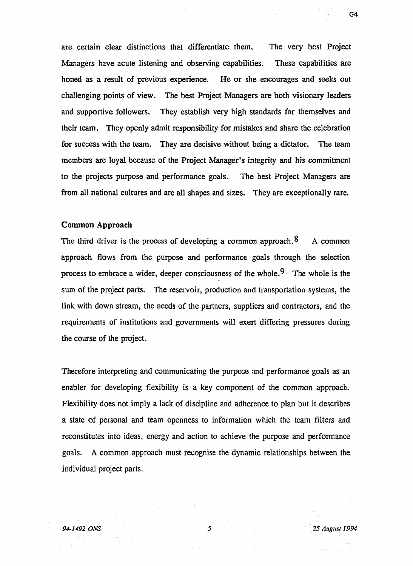are certain clear distinctions that differentiate them. The very best Project Managers have acute listening and observing capabilities. These capabilities are honed as a result of previous experience. He or she encourages and seeks out challenging points of view. The best Project Managers are both visionary leaders and supportive followers. They establish very high standards for themselves and their team. They openly admit responsibility for mistakes and share the celebration for success with the team. They are decisive without being a dictator. The team members are loyal because of the Project Manager's integrity and his commitment to the projects purpose and performance goals. The best Project Managers are from all national cultures and are all shapes and sizes. They are exceptionally rare.

### Common Approach

The third driver is the process of developing a common approach.  $8$  A common approach flows from the purpose and performance goals through the selection process to embrace a wider, deeper consciousness of the whole.<sup>9</sup> The whole is the sum of the project parts. The reservoir, production and transportation systems, the link with down stream, the needs of the partners, suppliers and contractors, and the requirements of institutions and governments will exert differing pressures during the course of the project.

Therefore interpreting and communicating the purpose and performance goals as an enabler for developing flexibility is a key component of the common approach. Flexibility does not imply a lack of discipline and adherence to plan but it describes a state of personal and team openness to information which the team filters and reconstitutes into ideas, energy and action to achieve the purpose and performance goals. A common approach must recognise the dynamic relationships between the individual project parts.

*94-1492 ONS 5 25 August 1994*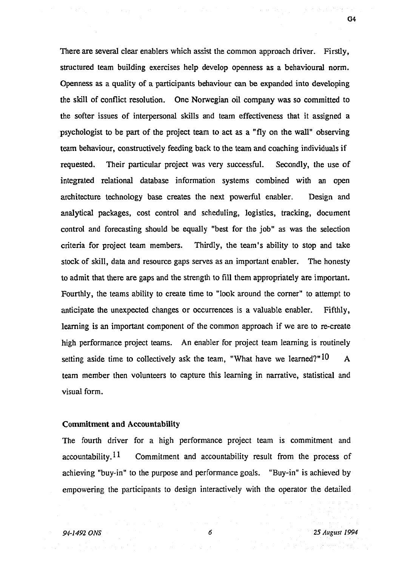There are several clear enablers which assist the common approach driver. Firstly, structured team building exercises help develop openness as a behavioural norm. Openness as a quality of a participants behaviour can be expanded into developing the skill of conflict resolution. One Norwegian oil company was so committed to the softer issues of interpersonal skills and team effectiveness that it assigned a psychologist to be part of the project team to act as a "fly on the wall" observing team behaviour, constructively feeding back to the team and coaching individuals if requested. Their particular project was very successful. Secondly, the use of integrated relational database information systems combined with an open architecture technology base creates the next powerful enabler. Design and analytical packages, cost control and scheduling, logistics, tracking, document control and forecasting should be equally "best for the job" as was the selection criteria for project team members. Thirdly, the team's ability to stop and take stock of skill, data and resource gaps serves as an important enabler. The honesty to admit that there are gaps and the strength to fill them appropriately are important. Fourthly, the teams ability to create time to "look around the corner" to attempt to anticipate the unexpected changes or occurrences is a valuable enabler. Fifthly, learning is an important component of the common approach if we are to re-create high performance project teams. An enabler for project team learning is routinely setting aside time to collectively ask the team, "What have we learned?"  $10$  A team member then volunteers to capture this learning in narrative, statistical and visual form.

# Commitment and Accountability

The fourth driver for a high performance project team is commitment and accountability.  $11$  Commitment and accountability result from the process of achieving "buy-in" to the purpose and performance goals. "Buy-in" is achieved by empowering the participants to design interactively with the operator the detailed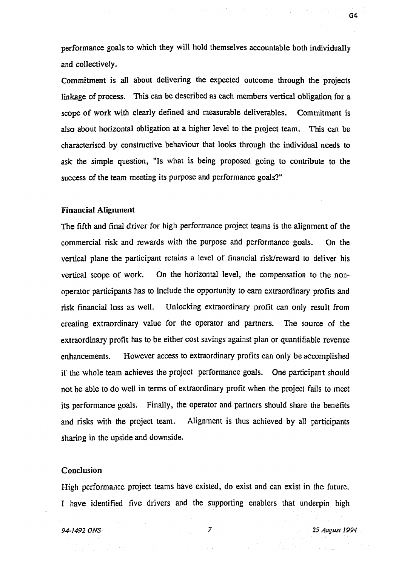performance goals to which they will hold themselves accountable both individually and collectively.

Commitment is all about delivering the expected outcome through the projects linkage of process. This can be described as each members vertical obligation for a scope of work with clearly defined and measurable deliverables. Commitment is also about horizontal obligation at a higher level to the project team. This can be characterised by constructive behaviour that looks through the individual needs to ask the simple question, "Is what is being proposed going to contribute to the success of the team meeting its purpose and performance goals?"

#### Financial Alignment

The fifth and final driver for high performance project teams is the alignment of the commercial risk and rewards with the purpose and performance goals. On the vertical plane the participant retains a level of financial risk/reward to deliver his vertical scope of work. On the horizontal level, the compensation to the nonoperator participants has to include the opportunity to earn extraordinary profits and risk financial loss as well. Unlocking extraordinary profit can only result from creating extraordinary value for the operator and partners. The source of the extraordinary profit has to be either cost savings against plan or quantifiable revenue enhancements. However access to extraordinary profits can only be accomplished if the whole team achieves the project performance goals. One participant should not be able to do well in terms of extraordinary profit when the project fails to meet its performance goals. Finally, the operator and partners should share the benefits and risks with the project team. Alignment is thus achieved by all participants sharing in the upside and downside.

#### Conclusion

High performance project teams have existed, do exist and can exist in the future. I have identified five drivers and the supporting enablers that underpin high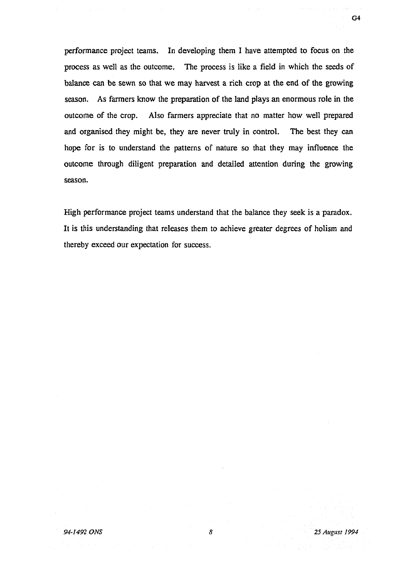performance project teams. In developing them I have attempted to focus on the process as well as the outcome. The process is like a field in which the seeds of balance can be sewn so that we may harvest a rich crop at the end of the growing season. As farmers know the preparation of the land plays an enormous role in the outcome of the crop. Also farmers appreciate that no matter how well prepared and organised they might be, they are never truly in control. The best they can hope for is to understand the patterns of nature so that they may influence the outcome through diligent preparation and detailed attention during the growing season.

High performance project teams understand that the balance they seek is a paradox. It is this understanding that releases them to achieve greater degrees of holism and thereby exceed our expectation for success.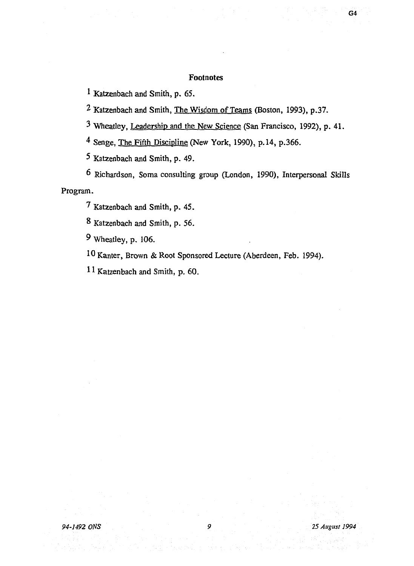# Footnotes

1 Katzenbach and Smith, p. 65.

<sup>2</sup> Katzenbach and Smith, <u>The Wisdom of Teams</u> (Boston, 1993), p.37.

<sup>3</sup> Wheatley, Leadership and the New Science (San Francisco, 1992), p. 41.

<sup>4</sup> Senge, The Fifth Discipline (New York, 1990), p.14, p.366.

5 Katzenbach and Smith, p. 49.

6 Richardson, Soma consulting group (London, 1990), Interpersonal Skills Program.

7 Katzenbach and Smith, p. 45.

8 Katzenbach and Smith, p. 56.

9 Wheatley, p. 106.

10 Kanter, Brown & Root Sponsored Lecture (Aberdeen, Feb. 1994).

11 Katzenbach and Smith, p. 60.